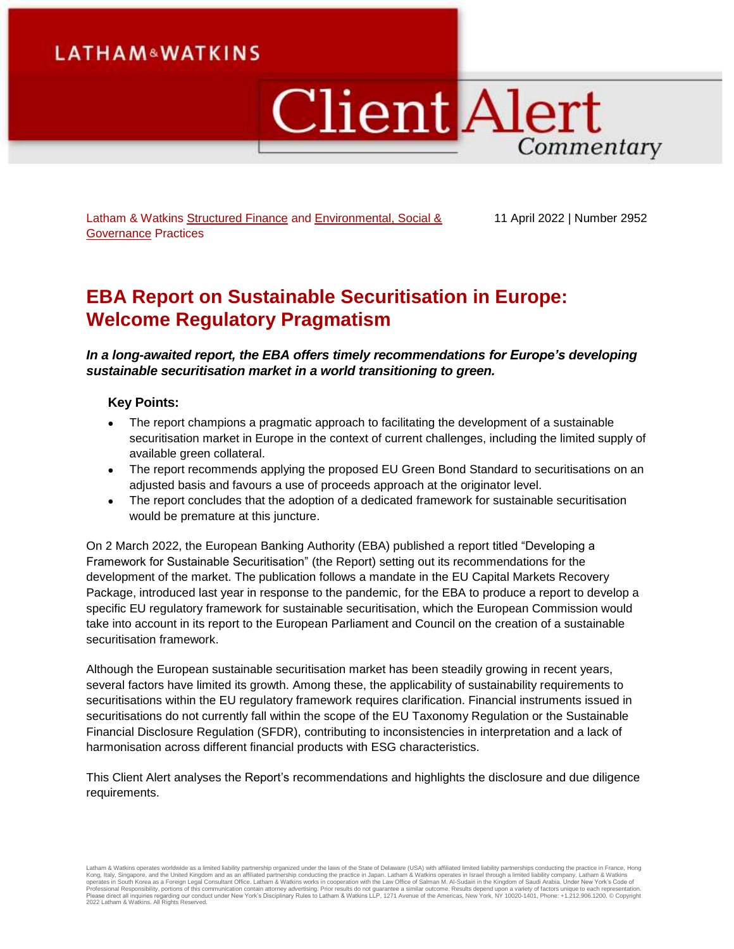# **LATHAM&WATKINS**

# **Client Alert** Commentary

Latham & Watkins [Structured Finance](https://www.lw.com/practices/StructuredFinance) and Environmental, Social & [Governance](https://www.lw.com/practices/EnvironmentalSocialGovernance) Practices

11 April 2022 | Number 2952

# **EBA Report on Sustainable Securitisation in Europe: Welcome Regulatory Pragmatism**

*In a long-awaited report, the EBA offers timely recommendations for Europe's developing sustainable securitisation market in a world transitioning to green.*

# **Key Points:**

- The report champions a pragmatic approach to facilitating the development of a sustainable securitisation market in Europe in the context of current challenges, including the limited supply of available green collateral.
- The report recommends applying the proposed EU Green Bond Standard to securitisations on an adjusted basis and favours a use of proceeds approach at the originator level.
- The report concludes that the adoption of a dedicated framework for sustainable securitisation would be premature at this juncture.

On 2 March 2022, the European Banking Authority (EBA) published a report titled "Developing a Framework for Sustainable Securitisation" (the Report) setting out its recommendations for the development of the market. The publication follows a mandate in the EU Capital Markets Recovery Package, introduced last year in response to the pandemic, for the EBA to produce a report to develop a specific EU regulatory framework for sustainable securitisation, which the European Commission would take into account in its report to the European Parliament and Council on the creation of a sustainable securitisation framework.

Although the European sustainable securitisation market has been steadily growing in recent years, several factors have limited its growth. Among these, the applicability of sustainability requirements to securitisations within the EU regulatory framework requires clarification. Financial instruments issued in securitisations do not currently fall within the scope of the EU Taxonomy Regulation or the Sustainable Financial Disclosure Regulation (SFDR), contributing to inconsistencies in interpretation and a lack of harmonisation across different financial products with ESG characteristics.

This Client Alert analyses the Report's recommendations and highlights the disclosure and due diligence requirements.

Latham & Watkins operates worldwide as a limited liability partnership organized under the laws of the State of Delaware (USA) with affiliated limited liability partnerships conducting the practice in France, Hong Kong, Italy, Singapore, and the United Kingdom and as an affiliated partnership conducting the practice in Japan. Latham & Watkins operates in Israel through a limited liablitly company. Latham & Watkins<br>operates in South 2022 Latham & Watkins. All Rights Reserved.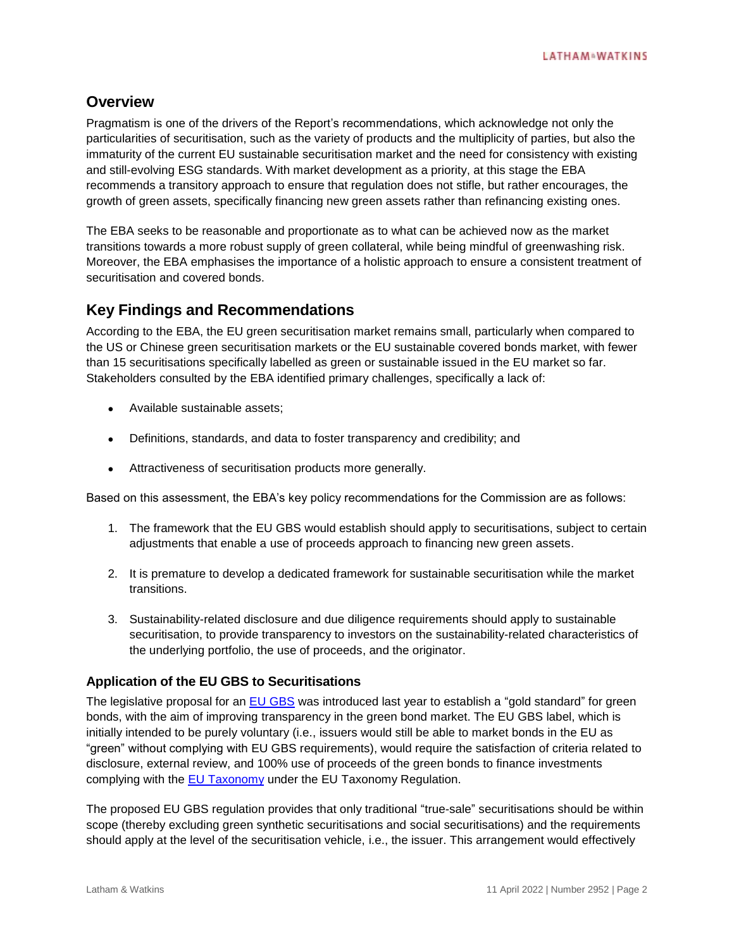# **Overview**

Pragmatism is one of the drivers of the Report's recommendations, which acknowledge not only the particularities of securitisation, such as the variety of products and the multiplicity of parties, but also the immaturity of the current EU sustainable securitisation market and the need for consistency with existing and still-evolving ESG standards. With market development as a priority, at this stage the EBA recommends a transitory approach to ensure that regulation does not stifle, but rather encourages, the growth of green assets, specifically financing new green assets rather than refinancing existing ones.

The EBA seeks to be reasonable and proportionate as to what can be achieved now as the market transitions towards a more robust supply of green collateral, while being mindful of greenwashing risk. Moreover, the EBA emphasises the importance of a holistic approach to ensure a consistent treatment of securitisation and covered bonds.

# **Key Findings and Recommendations**

According to the EBA, the EU green securitisation market remains small, particularly when compared to the US or Chinese green securitisation markets or the EU sustainable covered bonds market, with fewer than 15 securitisations specifically labelled as green or sustainable issued in the EU market so far. Stakeholders consulted by the EBA identified primary challenges, specifically a lack of:

- Available sustainable assets:
- Definitions, standards, and data to foster transparency and credibility; and
- Attractiveness of securitisation products more generally.

Based on this assessment, the EBA's key policy recommendations for the Commission are as follows:

- 1. The framework that the EU GBS would establish should apply to securitisations, subject to certain adjustments that enable a use of proceeds approach to financing new green assets.
- 2. It is premature to develop a dedicated framework for sustainable securitisation while the market transitions.
- 3. Sustainability-related disclosure and due diligence requirements should apply to sustainable securitisation, to provide transparency to investors on the sustainability-related characteristics of the underlying portfolio, the use of proceeds, and the originator.

# **Application of the EU GBS to Securitisations**

The legislative proposal for an [EU GBS](https://www.globalelr.com/2021/07/european-commission-publishes-new-green-bond-standard-and-unveils-latest-sustainable-finance-strategy/) was introduced last year to establish a "gold standard" for green bonds, with the aim of improving transparency in the green bond market. The EU GBS label, which is initially intended to be purely voluntary (i.e., issuers would still be able to market bonds in the EU as "green" without complying with EU GBS requirements), would require the satisfaction of criteria related to disclosure, external review, and 100% use of proceeds of the green bonds to finance investments complying with the [EU Taxonomy](https://www.globalelr.com/2020/07/eu-commissions-sustainable-finance-taxonomy-enters-into-force/) under the EU Taxonomy Regulation.

The proposed EU GBS regulation provides that only traditional "true-sale" securitisations should be within scope (thereby excluding green synthetic securitisations and social securitisations) and the requirements should apply at the level of the securitisation vehicle, i.e., the issuer. This arrangement would effectively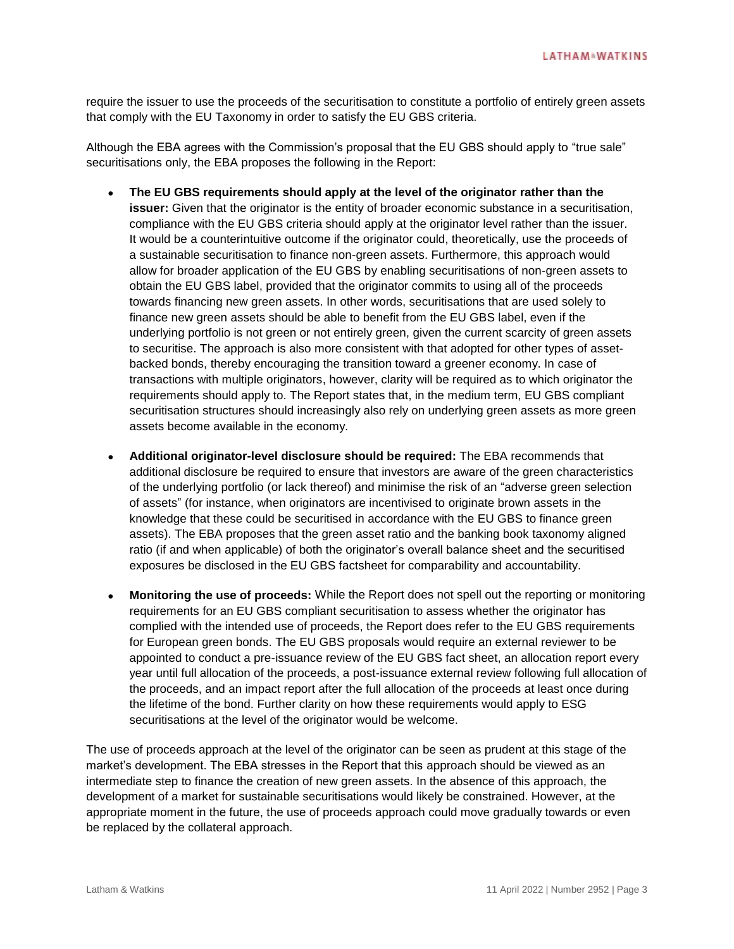require the issuer to use the proceeds of the securitisation to constitute a portfolio of entirely green assets that comply with the EU Taxonomy in order to satisfy the EU GBS criteria.

Although the EBA agrees with the Commission's proposal that the EU GBS should apply to "true sale" securitisations only, the EBA proposes the following in the Report:

- **The EU GBS requirements should apply at the level of the originator rather than the issuer:** Given that the originator is the entity of broader economic substance in a securitisation, compliance with the EU GBS criteria should apply at the originator level rather than the issuer. It would be a counterintuitive outcome if the originator could, theoretically, use the proceeds of a sustainable securitisation to finance non-green assets. Furthermore, this approach would allow for broader application of the EU GBS by enabling securitisations of non-green assets to obtain the EU GBS label, provided that the originator commits to using all of the proceeds towards financing new green assets. In other words, securitisations that are used solely to finance new green assets should be able to benefit from the EU GBS label, even if the underlying portfolio is not green or not entirely green, given the current scarcity of green assets to securitise. The approach is also more consistent with that adopted for other types of assetbacked bonds, thereby encouraging the transition toward a greener economy. In case of transactions with multiple originators, however, clarity will be required as to which originator the requirements should apply to. The Report states that, in the medium term, EU GBS compliant securitisation structures should increasingly also rely on underlying green assets as more green assets become available in the economy.
- **Additional originator-level disclosure should be required:** The EBA recommends that additional disclosure be required to ensure that investors are aware of the green characteristics of the underlying portfolio (or lack thereof) and minimise the risk of an "adverse green selection of assets" (for instance, when originators are incentivised to originate brown assets in the knowledge that these could be securitised in accordance with the EU GBS to finance green assets). The EBA proposes that the green asset ratio and the banking book taxonomy aligned ratio (if and when applicable) of both the originator's overall balance sheet and the securitised exposures be disclosed in the EU GBS factsheet for comparability and accountability.
- **Monitoring the use of proceeds:** While the Report does not spell out the reporting or monitoring requirements for an EU GBS compliant securitisation to assess whether the originator has complied with the intended use of proceeds, the Report does refer to the EU GBS requirements for European green bonds. The EU GBS proposals would require an external reviewer to be appointed to conduct a pre-issuance review of the EU GBS fact sheet, an allocation report every year until full allocation of the proceeds, a post-issuance external review following full allocation of the proceeds, and an impact report after the full allocation of the proceeds at least once during the lifetime of the bond. Further clarity on how these requirements would apply to ESG securitisations at the level of the originator would be welcome.

The use of proceeds approach at the level of the originator can be seen as prudent at this stage of the market's development. The EBA stresses in the Report that this approach should be viewed as an intermediate step to finance the creation of new green assets. In the absence of this approach, the development of a market for sustainable securitisations would likely be constrained. However, at the appropriate moment in the future, the use of proceeds approach could move gradually towards or even be replaced by the collateral approach.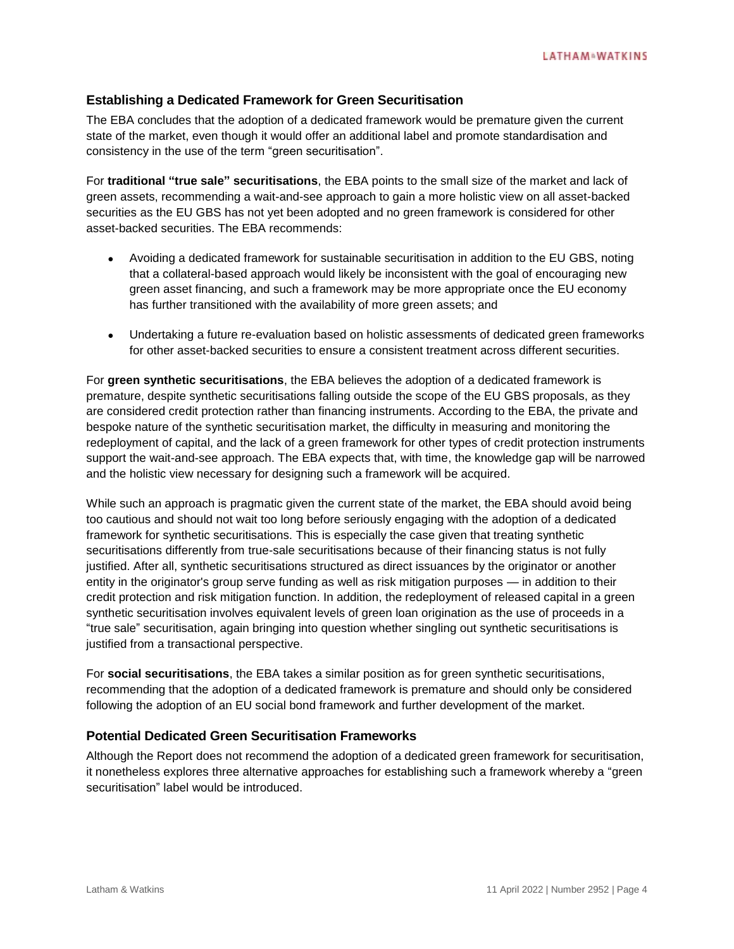# **Establishing a Dedicated Framework for Green Securitisation**

The EBA concludes that the adoption of a dedicated framework would be premature given the current state of the market, even though it would offer an additional label and promote standardisation and consistency in the use of the term "green securitisation".

For **traditional "true sale" securitisations**, the EBA points to the small size of the market and lack of green assets, recommending a wait-and-see approach to gain a more holistic view on all asset-backed securities as the EU GBS has not yet been adopted and no green framework is considered for other asset-backed securities. The EBA recommends:

- Avoiding a dedicated framework for sustainable securitisation in addition to the EU GBS, noting that a collateral-based approach would likely be inconsistent with the goal of encouraging new green asset financing, and such a framework may be more appropriate once the EU economy has further transitioned with the availability of more green assets; and
- Undertaking a future re-evaluation based on holistic assessments of dedicated green frameworks for other asset-backed securities to ensure a consistent treatment across different securities.

For **green synthetic securitisations**, the EBA believes the adoption of a dedicated framework is premature, despite synthetic securitisations falling outside the scope of the EU GBS proposals, as they are considered credit protection rather than financing instruments. According to the EBA, the private and bespoke nature of the synthetic securitisation market, the difficulty in measuring and monitoring the redeployment of capital, and the lack of a green framework for other types of credit protection instruments support the wait-and-see approach. The EBA expects that, with time, the knowledge gap will be narrowed and the holistic view necessary for designing such a framework will be acquired.

While such an approach is pragmatic given the current state of the market, the EBA should avoid being too cautious and should not wait too long before seriously engaging with the adoption of a dedicated framework for synthetic securitisations. This is especially the case given that treating synthetic securitisations differently from true-sale securitisations because of their financing status is not fully justified. After all, synthetic securitisations structured as direct issuances by the originator or another entity in the originator's group serve funding as well as risk mitigation purposes — in addition to their credit protection and risk mitigation function. In addition, the redeployment of released capital in a green synthetic securitisation involves equivalent levels of green loan origination as the use of proceeds in a "true sale" securitisation, again bringing into question whether singling out synthetic securitisations is justified from a transactional perspective.

For **social securitisations**, the EBA takes a similar position as for green synthetic securitisations, recommending that the adoption of a dedicated framework is premature and should only be considered following the adoption of an EU social bond framework and further development of the market.

## **Potential Dedicated Green Securitisation Frameworks**

Although the Report does not recommend the adoption of a dedicated green framework for securitisation, it nonetheless explores three alternative approaches for establishing such a framework whereby a "green securitisation" label would be introduced.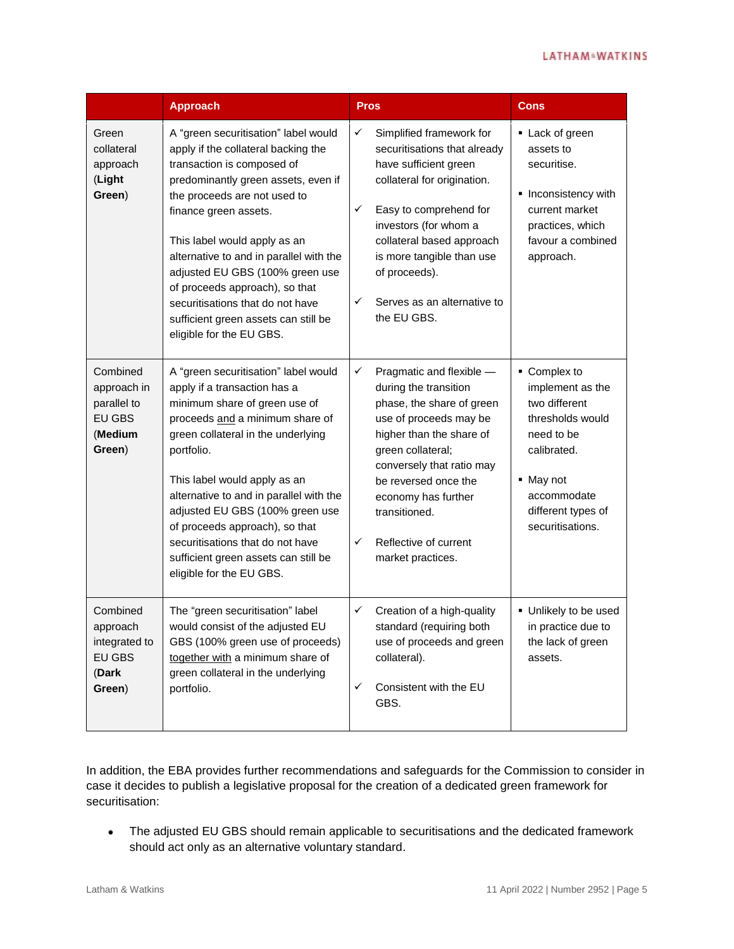### **LATHAM<sup>N</sup>WATKINS**

|                                                                              | <b>Approach</b>                                                                                                                                                                                                                                                                                                                                                                                                                                                   | <b>Pros</b>                                                                                                                                                                                                                                                                                                            | <b>Cons</b>                                                                                                                                                              |
|------------------------------------------------------------------------------|-------------------------------------------------------------------------------------------------------------------------------------------------------------------------------------------------------------------------------------------------------------------------------------------------------------------------------------------------------------------------------------------------------------------------------------------------------------------|------------------------------------------------------------------------------------------------------------------------------------------------------------------------------------------------------------------------------------------------------------------------------------------------------------------------|--------------------------------------------------------------------------------------------------------------------------------------------------------------------------|
| Green<br>collateral<br>approach<br>(Light<br>Green)                          | A "green securitisation" label would<br>apply if the collateral backing the<br>transaction is composed of<br>predominantly green assets, even if<br>the proceeds are not used to<br>finance green assets.<br>This label would apply as an<br>alternative to and in parallel with the<br>adjusted EU GBS (100% green use<br>of proceeds approach), so that<br>securitisations that do not have<br>sufficient green assets can still be<br>eligible for the EU GBS. | $\checkmark$<br>Simplified framework for<br>securitisations that already<br>have sufficient green<br>collateral for origination.<br>✓<br>Easy to comprehend for<br>investors (for whom a<br>collateral based approach<br>is more tangible than use<br>of proceeds).<br>✓<br>Serves as an alternative to<br>the EU GBS. | • Lack of green<br>assets to<br>securitise.<br>Inconsistency with<br>current market<br>practices, which<br>favour a combined<br>approach.                                |
| Combined<br>approach in<br>parallel to<br><b>EU GBS</b><br>(Medium<br>Green) | A "green securitisation" label would<br>apply if a transaction has a<br>minimum share of green use of<br>proceeds and a minimum share of<br>green collateral in the underlying<br>portfolio.<br>This label would apply as an<br>alternative to and in parallel with the<br>adjusted EU GBS (100% green use<br>of proceeds approach), so that<br>securitisations that do not have<br>sufficient green assets can still be<br>eligible for the EU GBS.              | ✓<br>Pragmatic and flexible -<br>during the transition<br>phase, the share of green<br>use of proceeds may be<br>higher than the share of<br>green collateral;<br>conversely that ratio may<br>be reversed once the<br>economy has further<br>transitioned.<br>✓<br>Reflective of current<br>market practices.         | • Complex to<br>implement as the<br>two different<br>thresholds would<br>need to be<br>calibrated.<br>• May not<br>accommodate<br>different types of<br>securitisations. |
| Combined<br>approach<br>integrated to<br>EU GBS<br>(Dark<br>Green)           | The "green securitisation" label<br>would consist of the adjusted EU<br>GBS (100% green use of proceeds)<br>together with a minimum share of<br>green collateral in the underlying<br>portfolio.                                                                                                                                                                                                                                                                  | Creation of a high-quality<br>✓<br>standard (requiring both<br>use of proceeds and green<br>collateral).<br>Consistent with the EU<br>✓<br>GBS.                                                                                                                                                                        | Unlikely to be used<br>in practice due to<br>the lack of green<br>assets.                                                                                                |

In addition, the EBA provides further recommendations and safeguards for the Commission to consider in case it decides to publish a legislative proposal for the creation of a dedicated green framework for securitisation:

 The adjusted EU GBS should remain applicable to securitisations and the dedicated framework should act only as an alternative voluntary standard.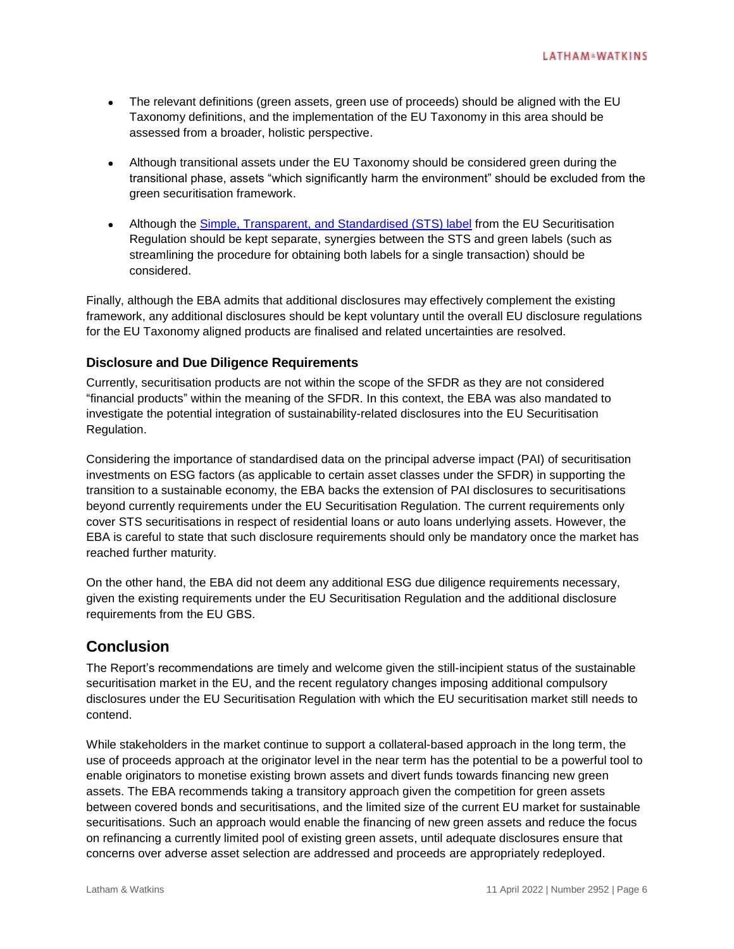- The relevant definitions (green assets, green use of proceeds) should be aligned with the EU Taxonomy definitions, and the implementation of the EU Taxonomy in this area should be assessed from a broader, holistic perspective.
- Although transitional assets under the EU Taxonomy should be considered green during the transitional phase, assets "which significantly harm the environment" should be excluded from the green securitisation framework.
- Although the Simple, Transparent, [and Standardised \(STS\) label](https://www.lw.com/thoughtLeadership/sts-securitisations-further-clarity-on-technical-standards) from the EU Securitisation Regulation should be kept separate, synergies between the STS and green labels (such as streamlining the procedure for obtaining both labels for a single transaction) should be considered.

Finally, although the EBA admits that additional disclosures may effectively complement the existing framework, any additional disclosures should be kept voluntary until the overall EU disclosure regulations for the EU Taxonomy aligned products are finalised and related uncertainties are resolved.

# **Disclosure and Due Diligence Requirements**

Currently, securitisation products are not within the scope of the SFDR as they are not considered "financial products" within the meaning of the SFDR. In this context, the EBA was also mandated to investigate the potential integration of sustainability-related disclosures into the EU Securitisation Regulation.

Considering the importance of standardised data on the principal adverse impact (PAI) of securitisation investments on ESG factors (as applicable to certain asset classes under the SFDR) in supporting the transition to a sustainable economy, the EBA backs the extension of PAI disclosures to securitisations beyond currently requirements under the EU Securitisation Regulation. The current requirements only cover STS securitisations in respect of residential loans or auto loans underlying assets. However, the EBA is careful to state that such disclosure requirements should only be mandatory once the market has reached further maturity.

On the other hand, the EBA did not deem any additional ESG due diligence requirements necessary, given the existing requirements under the EU Securitisation Regulation and the additional disclosure requirements from the EU GBS.

# **Conclusion**

The Report's recommendations are timely and welcome given the still-incipient status of the sustainable securitisation market in the EU, and the recent regulatory changes imposing additional compulsory disclosures under the EU Securitisation Regulation with which the EU securitisation market still needs to contend.

While stakeholders in the market continue to support a collateral-based approach in the long term, the use of proceeds approach at the originator level in the near term has the potential to be a powerful tool to enable originators to monetise existing brown assets and divert funds towards financing new green assets. The EBA recommends taking a transitory approach given the competition for green assets between covered bonds and securitisations, and the limited size of the current EU market for sustainable securitisations. Such an approach would enable the financing of new green assets and reduce the focus on refinancing a currently limited pool of existing green assets, until adequate disclosures ensure that concerns over adverse asset selection are addressed and proceeds are appropriately redeployed.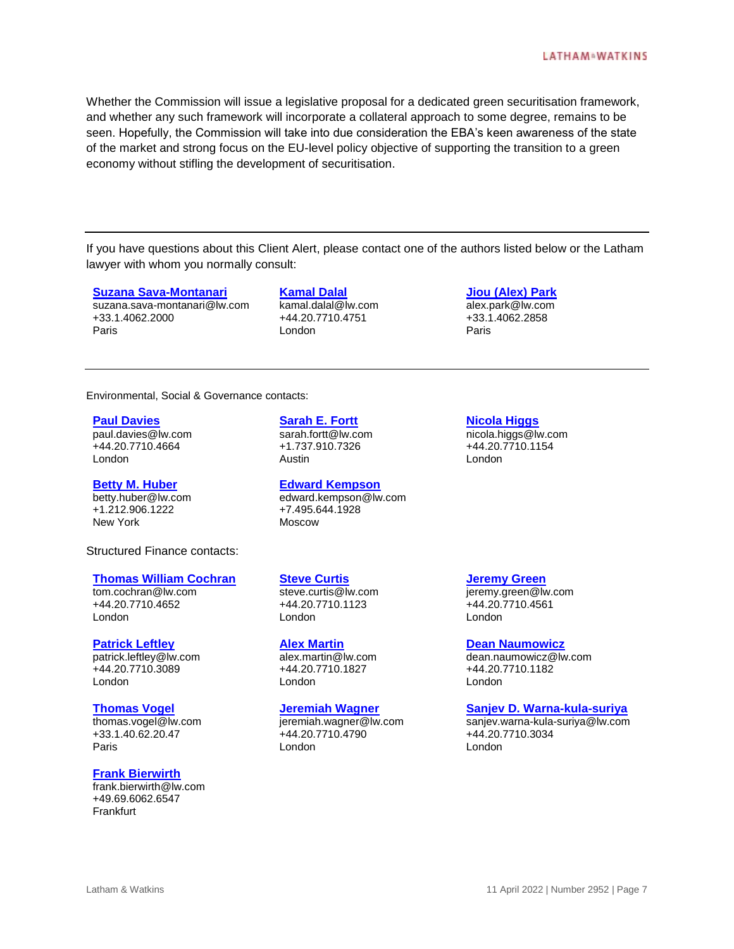Whether the Commission will issue a legislative proposal for a dedicated green securitisation framework, and whether any such framework will incorporate a collateral approach to some degree, remains to be seen. Hopefully, the Commission will take into due consideration the EBA's keen awareness of the state of the market and strong focus on the EU-level policy objective of supporting the transition to a green economy without stifling the development of securitisation.

If you have questions about this Client Alert, please contact one of the authors listed below or the Latham lawyer with whom you normally consult:

#### **[Suzana Sava-Montanari](https://www.lw.com/people/suzana-sava-montanari)**

suzana.sava-montanari@lw.com +33.1.4062.2000 Paris

**[Kamal Dalal](https://www.lw.com/people/kamal-dalal)** kamal.dalal@lw.com +44.20.7710.4751 London

**[Jiou \(Alex\) Park](https://www.lw.com/people/alex-park)**

alex.park@lw.com +33.1.4062.2858 Paris

Environmental, Social & Governance contacts:

#### **[Paul Davies](https://www.lw.com/people/paul-davies)**

paul.davies@lw.com +44.20.7710.4664 London

#### **[Betty M. Huber](https://www.lw.com/people/betty-huber)**

betty.huber@lw.com +1.212.906.1222 New York

Structured Finance contacts:

#### **[Thomas William Cochran](https://www.lw.com/people/thomas-cochran)**

tom.cochran@lw.com +44.20.7710.4652 London

#### **[Patrick Leftley](https://www.lw.com/people/patrick-leftley)**

patrick.leftley@lw.com +44.20.7710.3089 London

#### **[Thomas Vogel](https://www.lw.com/people/thomas-vogel)**

thomas.vogel@lw.com +33.1.40.62.20.47 Paris

#### **[Frank Bierwirth](https://www.lw.com/people/frank-bierwirth)**

frank.bierwirth@lw.com +49.69.6062.6547 Frankfurt

**[Sarah E. Fortt](https://www.lw.com/people/sarah-fortt)** sarah.fortt@lw.com

+1.737.910.7326 Austin

# **[Edward Kempson](https://www.lw.com/people/edward-kempson)**

edward.kempson@lw.com +7.495.644.1928 Moscow

#### **[Steve Curtis](https://www.lw.com/people/steve-curtis)**

steve.curtis@lw.com +44.20.7710.1123 London

#### **[Alex Martin](https://www.lw.com/people/alex-martin)**

alex.martin@lw.com +44.20.7710.1827 London

#### **[Jeremiah Wagner](https://www.lw.com/people/jeremiah-wagner)**

jeremiah.wagner@lw.com +44.20.7710.4790 London

**[Nicola Higgs](https://www.lw.com/people/nicola-higgs)**

nicola.higgs@lw.com +44.20.7710.1154 London

**[Jeremy Green](https://www.lw.com/people/jeremy-green)**

jeremy.green@lw.com +44.20.7710.4561 London

#### **[Dean Naumowicz](https://www.lw.com/people/dean-naumowicz)**

dean.naumowicz@lw.com +44.20.7710.1182 London

#### **[Sanjev D. Warna-kula-suriya](https://www.lw.com/people/sanjev-warna-kula-suriya)**

sanjev.warna-kula-suriya@lw.com +44.20.7710.3034 London